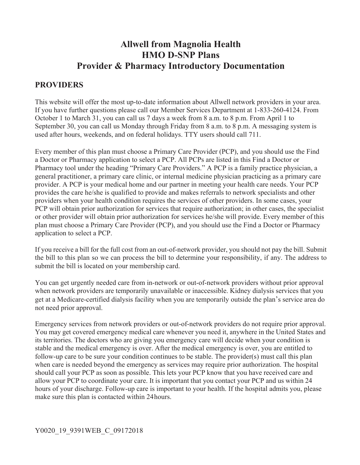# **Allwell from Magnolia Health HMO D-SNP Plans Provider & Pharmacy Introductory Documentation**

## **PROVIDERS**

This website will offer the most up-to-date information about Allwell network providers in your area. If you have further questions please call our Member Services Department at 1-833-260-4124. From October 1 to March 31, you can call us 7 days a week from 8 a.m. to 8 p.m. From April 1 to September 30, you can call us Monday through Friday from 8 a.m. to 8 p.m. A messaging system is used after hours, weekends, and on federal holidays. TTY users should call 711.

Every member of this plan must choose a Primary Care Provider (PCP), and you should use the Find a Doctor or Pharmacy application to select a PCP. All PCPs are listed in this Find a Doctor or Pharmacy tool under the heading "Primary Care Providers." A PCP is a family practice physician, a general practitioner, a primary care clinic, or internal medicine physician practicing as a primary care provider. A PCP is your medical home and our partner in meeting your health care needs. Your PCP provides the care he/she is qualified to provide and makes referrals to network specialists and other providers when your health condition requires the services of other providers. In some cases, your PCP will obtain prior authorization for services that require authorization; in other cases, the specialist or other provider will obtain prior authorization for services he/she will provide. Every member of this plan must choose a Primary Care Provider (PCP), and you should use the Find a Doctor or Pharmacy application to select a PCP.

If you receive a bill for the full cost from an out-of-network provider, you should not pay the bill. Submit the bill to this plan so we can process the bill to determine your responsibility, if any. The address to submit the bill is located on your membership card.

You can get urgently needed care from in-network or out-of-network providers without prior approval when network providers are temporarily unavailable or inaccessible. Kidney dialysis services that you get at a Medicare-certified dialysis facility when you are temporarily outside the plan's service area do not need prior approval.

Emergency services from network providers or out-of-network providers do not require prior approval. You may get covered emergency medical care whenever you need it, anywhere in the United States and its territories. The doctors who are giving you emergency care will decide when your condition is stable and the medical emergency is over. After the medical emergency is over, you are entitled to follow-up care to be sure your condition continues to be stable. The provider(s) must call this plan when care is needed beyond the emergency as services may require prior authorization. The hospital should call your PCP as soon as possible. This lets your PCP know that you have received care and allow your PCP to coordinate your care. It is important that you contact your PCP and us within 24 hours of your discharge. Follow-up care is important to your health. If the hospital admits you, please make sure this plan is contacted within 24 hours.